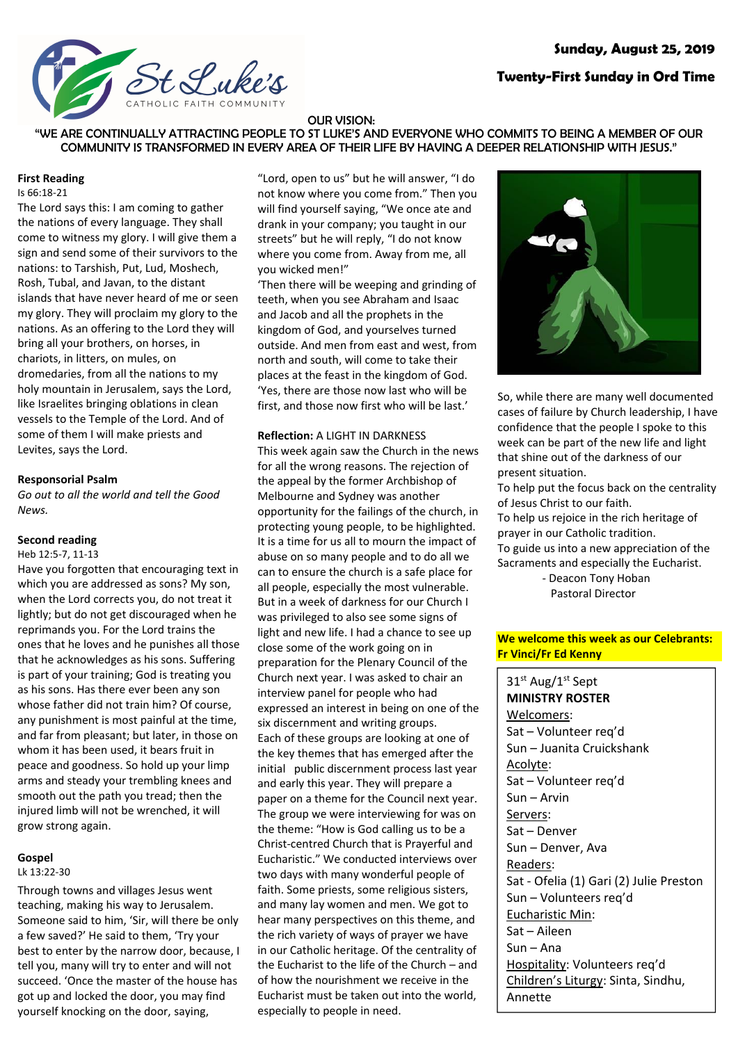

# **Twenty-First Sunday in Ord Time**

### OUR VISION:

"WE ARE CONTINUALLY ATTRACTING PEOPLE TO ST LUKE'S AND EVERYONE WHO COMMITS TO BEING A MEMBER OF OUR COMMUNITY IS TRANSFORMED IN EVERY AREA OF THEIR LIFE BY HAVING A DEEPER RELATIONSHIP WITH JESUS."

### **First Reading**

#### Is 66:18-21

The Lord says this: I am coming to gather the nations of every language. They shall come to witness my glory. I will give them a sign and send some of their survivors to the nations: to Tarshish, Put, Lud, Moshech, Rosh, Tubal, and Javan, to the distant islands that have never heard of me or seen my glory. They will proclaim my glory to the nations. As an offering to the Lord they will bring all your brothers, on horses, in chariots, in litters, on mules, on dromedaries, from all the nations to my holy mountain in Jerusalem, says the Lord, like Israelites bringing oblations in clean vessels to the Temple of the Lord. And of some of them I will make priests and Levites, says the Lord.

#### **Responsorial Psalm**

*Go out to all the world and tell the Good News.*

## **Second reading**

Heb 12:5-7, 11-13

Have you forgotten that encouraging text in which you are addressed as sons? My son, when the Lord corrects you, do not treat it lightly; but do not get discouraged when he reprimands you. For the Lord trains the ones that he loves and he punishes all those that he acknowledges as his sons. Suffering is part of your training; God is treating you as his sons. Has there ever been any son whose father did not train him? Of course, any punishment is most painful at the time, and far from pleasant; but later, in those on whom it has been used, it bears fruit in peace and goodness. So hold up your limp arms and steady your trembling knees and smooth out the path you tread; then the injured limb will not be wrenched, it will grow strong again.

# **Gospel**

#### Lk 13:22-30

Through towns and villages Jesus went teaching, making his way to Jerusalem. Someone said to him, 'Sir, will there be only a few saved?' He said to them, 'Try your best to enter by the narrow door, because, I tell you, many will try to enter and will not succeed. 'Once the master of the house has got up and locked the door, you may find yourself knocking on the door, saying,

"Lord, open to us" but he will answer, "I do not know where you come from." Then you will find yourself saying, "We once ate and drank in your company; you taught in our streets" but he will reply, "I do not know where you come from. Away from me, all you wicked men!"

'Then there will be weeping and grinding of teeth, when you see Abraham and Isaac and Jacob and all the prophets in the kingdom of God, and yourselves turned outside. And men from east and west, from north and south, will come to take their places at the feast in the kingdom of God. 'Yes, there are those now last who will be first, and those now first who will be last.'

**Reflection:** A LIGHT IN DARKNESS This week again saw the Church in the news for all the wrong reasons. The rejection of the appeal by the former Archbishop of Melbourne and Sydney was another opportunity for the failings of the church, in protecting young people, to be highlighted. It is a time for us all to mourn the impact of abuse on so many people and to do all we can to ensure the church is a safe place for all people, especially the most vulnerable. But in a week of darkness for our Church I was privileged to also see some signs of light and new life. I had a chance to see up close some of the work going on in preparation for the Plenary Council of the Church next year. I was asked to chair an interview panel for people who had expressed an interest in being on one of the six discernment and writing groups. Each of these groups are looking at one of the key themes that has emerged after the initial public discernment process last year and early this year. They will prepare a paper on a theme for the Council next year. The group we were interviewing for was on the theme: "How is God calling us to be a Christ-centred Church that is Prayerful and Eucharistic." We conducted interviews over two days with many wonderful people of faith. Some priests, some religious sisters, and many lay women and men. We got to hear many perspectives on this theme, and the rich variety of ways of prayer we have in our Catholic heritage. Of the centrality of the Eucharist to the life of the Church – and of how the nourishment we receive in the Eucharist must be taken out into the world, especially to people in need.



So, while there are many well documented cases of failure by Church leadership, I have confidence that the people I spoke to this week can be part of the new life and light that shine out of the darkness of our present situation.

To help put the focus back on the centrality of Jesus Christ to our faith.

To help us rejoice in the rich heritage of prayer in our Catholic tradition.

To guide us into a new appreciation of the Sacraments and especially the Eucharist.

- Deacon Tony Hoban Pastoral Director

## **We welcome this week as our Celebrants: Fr Vinci/Fr Ed Kenny**

31<sup>st</sup> Aug/1<sup>st</sup> Sept **MINISTRY ROSTER** Welcomers: Sat – Volunteer req'd Sun – Juanita Cruickshank Acolyte: Sat – Volunteer req'd Sun – Arvin Servers: Sat – Denver Sun – Denver, Ava Readers: Sat - Ofelia (1) Gari (2) Julie Preston Sun – Volunteers req'd Eucharistic Min: Sat – Aileen Sun – Ana Hospitality: Volunteers req'd Children's Liturgy: Sinta, Sindhu, Annette